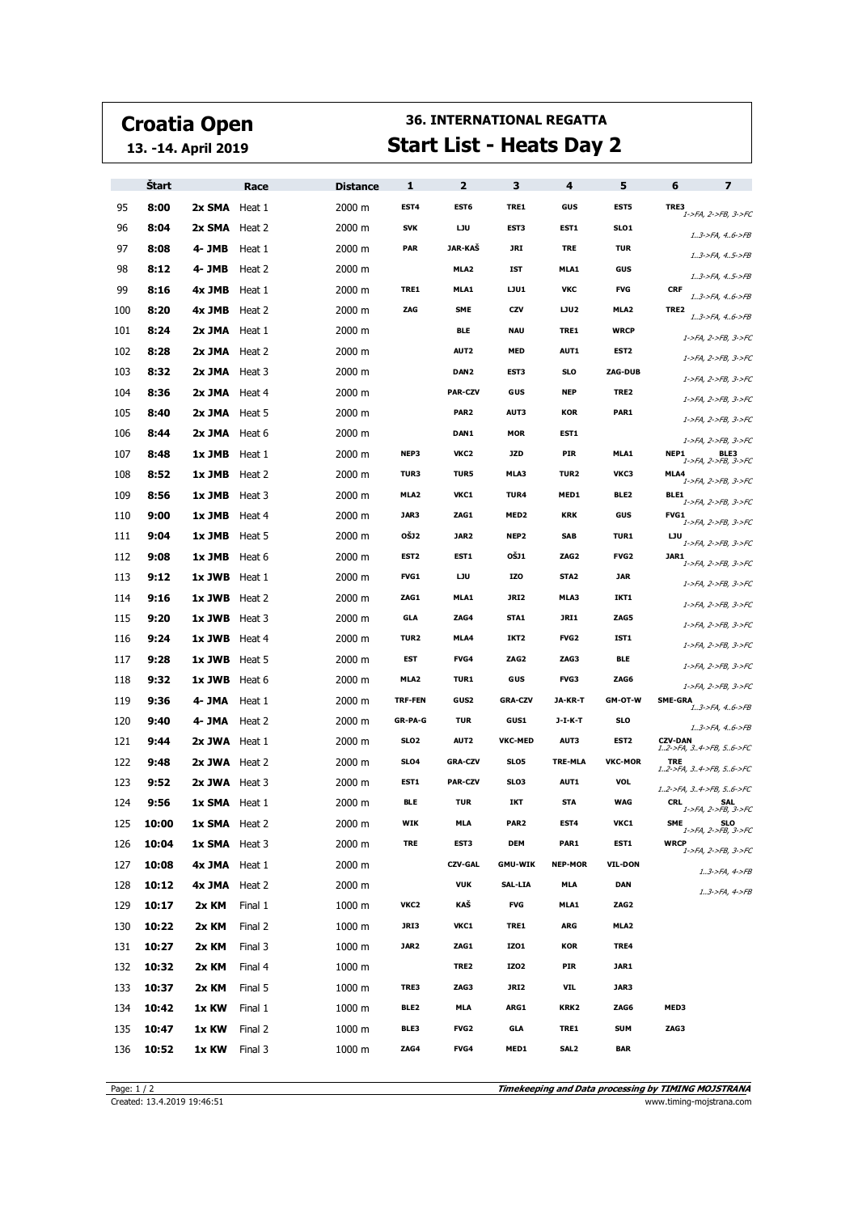## **Croatia Open**

**13. -14. April 2019**

## **36. INTERNATIONAL REGATTA Start List - Heats Day 2**

|     | <b>Start</b> |                      | Race    | <b>Distance</b> | 1                | 2                | з                | 4                | 5                | 6              | $\overline{\mathbf{z}}$           |
|-----|--------------|----------------------|---------|-----------------|------------------|------------------|------------------|------------------|------------------|----------------|-----------------------------------|
| 95  | 8:00         | 2x SMA Heat 1        |         | 2000 m          | EST4             | EST6             | TRE1             | GUS              | EST5             | TRE3           | 1->FA, 2->FB, 3->FC               |
| 96  | 8:04         | 2x SMA Heat 2        |         | 2000 m          | <b>SVK</b>       | <b>LJU</b>       | EST3             | EST1             | SLO <sub>1</sub> |                | $13$ ->FA, $46$ ->FB              |
| 97  | 8:08         | 4- JMB               | Heat 1  | 2000 m          | <b>PAR</b>       | JAR-KAŠ          | JRI              | <b>TRE</b>       | <b>TUR</b>       |                | 13->FA, 45->FB                    |
| 98  | 8:12         | 4- JMB               | Heat 2  | 2000 m          |                  | MLA2             | <b>IST</b>       | MLA1             | GUS              |                | $13$ ->FA, $45$ ->FB              |
| 99  | 8:16         | 4x JMB               | Heat 1  | 2000 m          | TRE1             | MLA1             | LJU1             | νкс              | <b>FVG</b>       | <b>CRF</b>     | $13$ ->FA, $46$ ->FB              |
| 100 | 8:20         | 4x JMB               | Heat 2  | 2000 m          | ZAG              | <b>SME</b>       | CZV              | LJU2             | MLA2             | TRE2           | 13->FA, 46->FB                    |
| 101 | 8:24         | 2x JMA Heat 1        |         | 2000 m          |                  | <b>BLE</b>       | <b>NAU</b>       | TRE1             | <b>WRCP</b>      |                | 1->FA, 2->FB, 3->FC               |
| 102 | 8:28         | 2x JMA Heat 2        |         | 2000 m          |                  | AUT2             | <b>MED</b>       | AUT1             | EST <sub>2</sub> |                | 1->FA, 2->FB, 3->FC               |
| 103 | 8:32         | 2x JMA Heat 3        |         | 2000 m          |                  | DAN <sub>2</sub> | EST3             | <b>SLO</b>       | ZAG-DUB          |                | 1->FA, 2->FB, 3->FC               |
| 104 | 8:36         | 2x JMA Heat 4        |         | 2000 m          |                  | <b>PAR-CZV</b>   | GUS              | <b>NEP</b>       | TRE2             |                | 1->FA, 2->FB, 3->FC               |
| 105 | 8:40         | 2x JMA Heat 5        |         | 2000 m          |                  | PAR <sub>2</sub> | AUT3             | KOR              | PAR1             |                | 1->FA, 2->FB, 3->FC               |
| 106 | 8:44         | <b>2x JMA</b> Heat 6 |         | 2000 m          |                  | DAN1             | <b>MOR</b>       | EST1             |                  |                | 1->FA, 2->FB, 3->FC               |
| 107 | 8:48         | $1x$ JMB Heat 1      |         | 2000 m          | NEP3             | VKC2             | <b>JZD</b>       | PIR              | MLA1             | NEP1           | BLE3<br>1->FA, 2->FB, 3->FC       |
| 108 | 8:52         | 1x JMB               | Heat 2  | 2000 m          | TUR3             | TUR5             | MLA3             | TUR2             | VKC3             | MLA4           | 1->FA, 2->FB, 3->FC               |
| 109 | 8:56         | 1x JMB               | Heat 3  | 2000 m          | MLA <sub>2</sub> | VKC1             | TUR4             | MED1             | BLE2             | BLE1           | 1->FA, 2->FB, 3->FC               |
| 110 | 9:00         | 1x JMB Heat 4        |         | 2000 m          | JAR3             | ZAG1             | MED <sub>2</sub> | <b>KRK</b>       | GUS              | FVG1           | 1->FA, 2->FB, 3->FC               |
| 111 | 9:04         | 1x JMB               | Heat 5  | 2000 m          | <b>OSJ2</b>      | JAR <sub>2</sub> | NEP <sub>2</sub> | SAB              | <b>TUR1</b>      | IJυ            | 1->FA, 2->FB, 3->FC               |
| 112 | 9:08         | $1x$ JMB Heat 6      |         | 2000 m          | EST <sub>2</sub> | EST1             | OŠJ1             | ZAG <sub>2</sub> | <b>FVG2</b>      | JAR1           | 1->FA, 2->FB, 3->FC               |
| 113 | 9:12         | $1x$ JWB Heat 1      |         | 2000 m          | FVG1             | <b>LJU</b>       | IZO              | STA <sub>2</sub> | <b>JAR</b>       |                | 1->FA, 2->FB, 3->FC               |
| 114 | 9:16         | 1x JWB Heat 2        |         | 2000 m          | ZAG1             | MLA1             | JRI2             | MLA3             | IKT1             |                | 1->FA, 2->FB, 3->FC               |
| 115 | 9:20         | <b>1x JWB</b> Heat 3 |         | 2000 m          | GLA              | ZAG4             | STA1             | JRI1             | ZAG5             |                | 1->FA, 2->FB, 3->FC               |
| 116 | 9:24         | <b>1x JWB</b> Heat 4 |         | 2000 m          | TUR <sub>2</sub> | MLA4             | IKT2             | FVG <sub>2</sub> | IST1             |                | 1->FA, 2->FB, 3->FC               |
| 117 | 9:28         | <b>1x JWB</b> Heat 5 |         | 2000 m          | EST              | FVG4             | ZAG2             | ZAG3             | <b>BLE</b>       |                | 1->FA, 2->FB, 3->FC               |
| 118 | 9:32         | 1x JWB Heat 6        |         | 2000 m          | MLA2             | <b>TUR1</b>      | GUS              | FVG3             | ZAG6             |                | 1->FA, 2->FB, 3->FC               |
| 119 | 9:36         | 4- JMA               | Heat 1  | 2000 m          | <b>TRF-FEN</b>   | GUS2             | <b>GRA-CZV</b>   | JA-KR-T          | GM-OT-W          | <b>SME-GRA</b> | 13->FA, 46->FB                    |
| 120 | 9:40         | 4- JMA               | Heat 2  | 2000 m          | GR-PA-G          | <b>TUR</b>       | <b>GUS1</b>      | J-I-K-T          | <b>SLO</b>       |                | $13$ ->FA, $46$ ->FB              |
| 121 | 9:44         | 2x JWA Heat 1        |         | 2000 m          | SLO <sub>2</sub> | AUT2             | <b>VKC-MED</b>   | AUT3             | EST <sub>2</sub> | <b>CZV-DAN</b> | 12->FA, 34->FB, 56->FC            |
| 122 | 9:48         | 2x JWA Heat 2        |         | 2000 m          | SL <sub>04</sub> | <b>GRA-CZV</b>   | SLO5             | TRE-MLA          | <b>VKC-MOR</b>   | <b>TRE</b>     | 12->FA, 34->FB, 56->FC            |
| 123 | 9:52         | 2x JWA Heat 3        |         | 2000 m          | EST1             | <b>PAR-CZV</b>   | SLO3             | AUT1             | <b>VOL</b>       |                | 12->FA, 34->FB, 56->FC            |
| 124 | 9:56         | 1x SMA Heat 1        |         | 2000 m          | <b>BLE</b>       | <b>TUR</b>       | IKT              | <b>STA</b>       | WAG              | <b>CRL</b>     | <b>SAL</b><br>1->FA, 2->FB, 3->FC |
| 125 | 10:00        | 1x SMA Heat 2        |         | 2000 m          | WIK              | MLA              | PAR2             | EST4             | VKC1             | SME            | <b>E</b><br>1->FA, 2->FB, 3->FC   |
| 126 | 10:04        | 1x SMA Heat 3        |         | 2000 m          | <b>TRE</b>       | EST3             | DEM              | PAR1             | EST1             | <b>WRCP</b>    | 1->FA, 2->FB, 3->FC               |
| 127 | 10:08        | 4x JMA Heat 1        |         | 2000 m          |                  | <b>CZV-GAL</b>   | <b>GMU-WIK</b>   | <b>NEP-MOR</b>   | <b>VIL-DON</b>   |                | $13$ ->FA, $4$ ->FB               |
| 128 | 10:12        | 4x JMA Heat 2        |         | 2000 m          |                  | <b>VUK</b>       | SAL-LIA          | <b>MLA</b>       | <b>DAN</b>       |                | $13$ ->FA, $4$ ->FB               |
| 129 | 10:17        | 2x KM                | Final 1 | 1000 m          | VKC2             | KAŠ              | <b>FVG</b>       | MLA1             | ZAG <sub>2</sub> |                |                                   |
| 130 | 10:22        | 2x KM                | Final 2 | 1000 m          | JRI3             | VKC1             | TRE1             | ARG              | MLA2             |                |                                   |
| 131 | 10:27        | 2x KM                | Final 3 | 1000 m          | JAR2             | ZAG1             | IZ01             | KOR              | TRE4             |                |                                   |
| 132 | 10:32        | 2x KM                | Final 4 | 1000 m          |                  | TRE2             | IZ02             | PIR              | JAR1             |                |                                   |
| 133 | 10:37        | 2x KM                | Final 5 | 1000 m          | TRE3             | ZAG3             | JRI2             | VIL              | JAR3             |                |                                   |
| 134 | 10:42        | 1x KW                | Final 1 | 1000 m          | BLE <sub>2</sub> | MLA              | ARG1             | KRK2             | ZAG6             | MED3           |                                   |
| 135 | 10:47        | 1x KW                | Final 2 | 1000 m          | BLE3             | <b>FVG2</b>      | GLA              | TRE1             | <b>SUM</b>       | ZAG3           |                                   |
| 136 | 10:52        | 1x KW                | Final 3 | 1000 m          | ZAG4             | FVG4             | MED1             | SAL <sub>2</sub> | <b>BAR</b>       |                |                                   |

**Timekeeping and Data processing by TIMING MOJSTRANA** Page: 1 / 2<br>Created: 13.4.2019 19:46:51 **Timekeeping and Data processing by TIMING MOJSTRANA**<br>www.timing-mojstrana.com